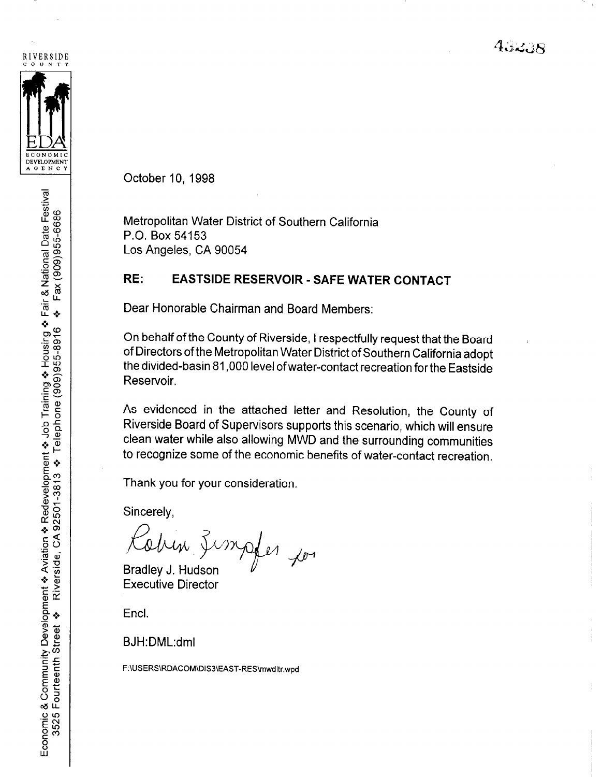43238



October 10, 1998

Metropolitan Water District of Southern California P.O. Box 54153 Los Angeles, CA 90054

## RE: EASTSIDE RESERVOIR - SAFE WATER CONTACT

Dear Honorable Chairman and Board Members:

On behalf of the County of Riverside, I respectfully request that the Board of Directors of the Metropolitan Water District of Southern California adopt the divided-basin 81,000 level ofwater-contact recreation forthe Eastside Reservoir.

As evidenced in the attached letter and Resolution, the County of Riverside Board of Supervisors supports this scenario, which will ensure clean water while also allowing MWD and the surrounding communities to recognize some of the economic benefits of water-contact recreation.

Thank you for your consideration.

Sincerely,

 $\kappa$  Theory is the  $\kappa$ Cohin Limples Bradley J. Hudson  $\mathcal{F}$ 

Executive Director

Encl.

BJH:DML:dml

F:\USERS\RDACOM\DIS3\EAST-RES\mwdItr.wpd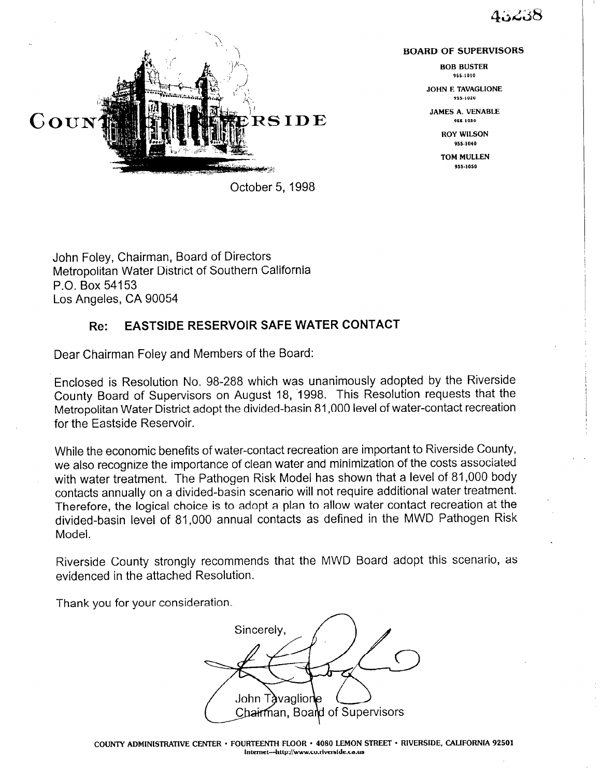## $4.12.38$



BOARD OF SUPERVISORS

BOB BUSTER 955-1010

JOHN E TAVAGLIONE 955.1020

JAMES A. VENABLE 955.1030

> ROY WILSON 955-1010

TOM MULLEN 955.,050

October 5, 1998

John Foley, Chairman, Board of Directors Metropolitan Water District of Southern California P.O. Box 54153 Los Angeles, CA 90054

## Re: EASTSIDE RESERVOIR SAFE WATER CONTACT

Dear Chairman Foley and Members of the Board:

Enclosed is Resolution No. 98-288 which was unanimously adopted by the Riverside County Board of Supervisors on August 18, '1998. This Resolution requests that the Metropolitan Water District adopt the divided-basin 81,000 level of water-contact recreation for the Eastside Reservoir.

While the economic benefits of water-contact recreation are important to Riverside County, we also recognize the importance of clean water and minimization of the costs associated with water treatment. The Pathogen Risk Model has shown that a level of 81,000 body contacts annually on a divided-basin scenario will not require additional water treatment. Therefore, the logical choice is to adopt a plan to allow water contact recreation at the divided-basin level of 81,000 annual contacts as defined in the MWD Pathogen Risk Model.

Riverside County strongly recommends that the MWD Board adopt this scenario, as evidenced in the attached Resolution.

Thank you for your consideration.

Sincerely. John Tàvaglione (\_\_\_*\_*<br>Cha<del>irm</del>an. Boand of Supervisors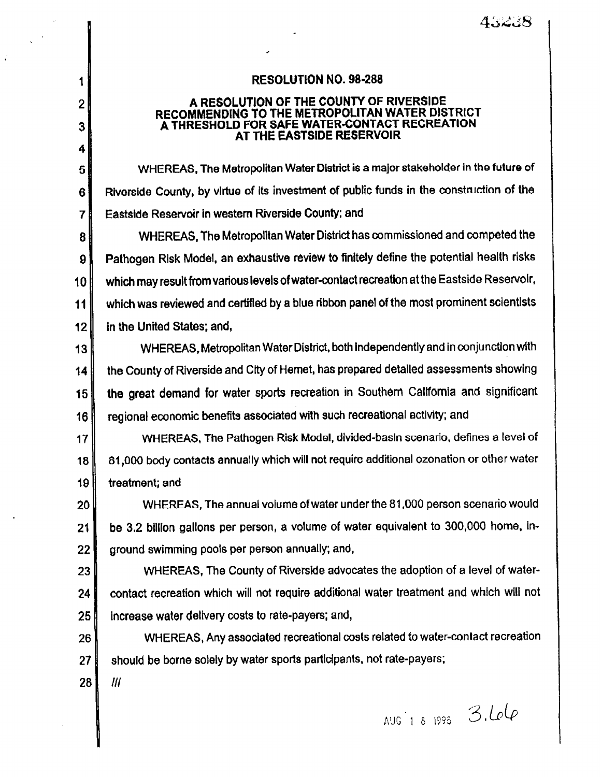RESOLUTION NO. 98-288

## A RESOLUTION OF THE COUNTY OF RIVERSIDE RECOMMENDING TO THE METROPOLITAN WATER DISTRICT A THRESHOLD FOR SAFE WATER-CONTACT RECREATION AT THE EASTSIDE RESERVOIR

WHEREAS, The Metropolitan Water District is a ma]or stakeholder in the future of Riverside County, by virtue of its investment of public funds in the construction of the Eastside Reservoir in western Riverside County; and

WHEREAS, The Metropolitan Water District has commissioned and competed the 8 Pathogen Risk Model, an exhaustwe review to finitely define the potential health risks  $9$ which may result from various levels of water-contact recreation at the Eastside Reservolr.  $10<sub>1</sub>$ which was reviewed and certified by a blue ribbon panel of the most prominent scientists  $11$  $12<sub>2</sub>$ in the United States; and,

WHEREAS, Metropolitan Water District, both independently and in conjunction with  $13$ the County of Riverside and City of Hemet, has prepared detailed assessments showing  $14$ the great demand for water sports recreation in Southern California and significant 15 regional economic benefits associated with such recreational activity; and 16

WHEREAS, The Pathogen Risk Model, divided-basin scenario, defines a level of  $17$ 81,000 body contacts annually which will not require additional ozonation or other water 18 19 treatment; and

WHEREAS, The annual volume of water under the 81,000 person scenario would 20 be 3.2 blllion gallons per person, a volume of water equivalent to 300,000 home, in- $21$ 22 ground swimming pools per person annually; and,

WHEREAS, The County of Riverside advocates the adoption of a level of water-23 l contact recreation which will not require additional water treatment and which will not  $24$ 25 increase water dellvery costs to rate-payers; and,

WHEREAS, Any associated recreational costs related to water-contact recreation 26 should be borne solely by water sports participants, not rate-payers; 27 I

28  $III$ 

1

 $\overline{2}$ 

 $\overline{3}$ 

4

5

6

 $\overline{7}$ 

AUG 1 8 1993 3. Lolp